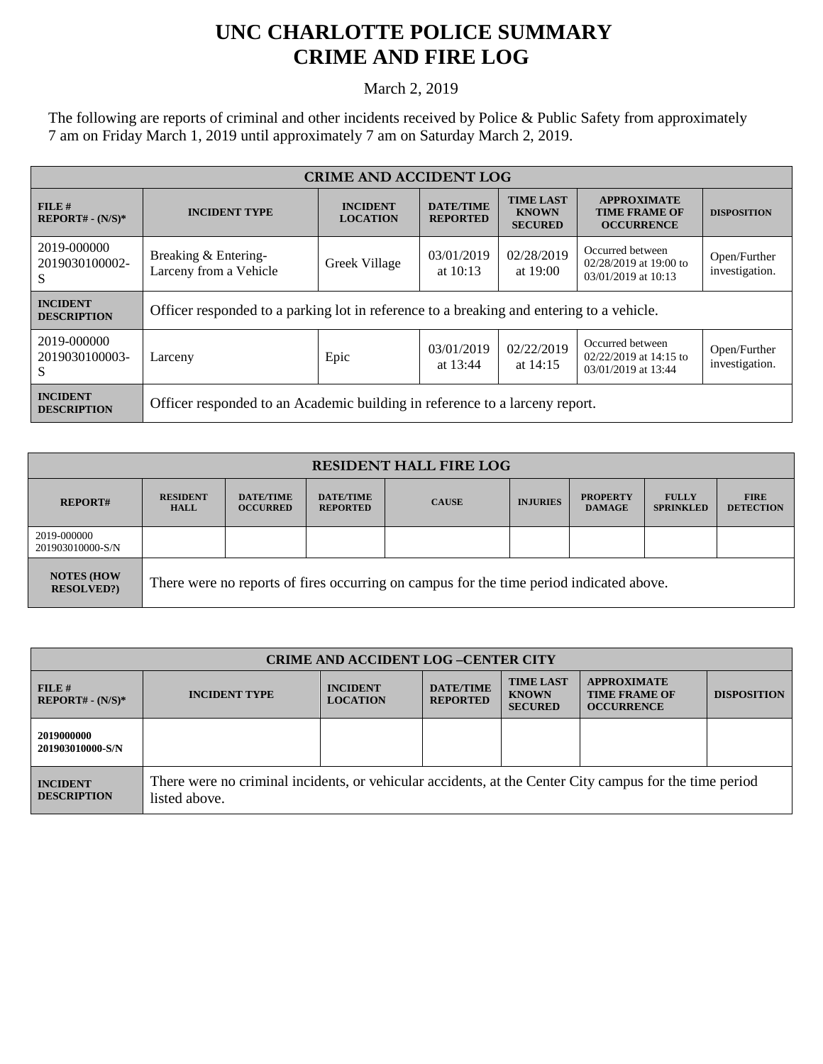## **UNC CHARLOTTE POLICE SUMMARY CRIME AND FIRE LOG**

March 2, 2019

The following are reports of criminal and other incidents received by Police & Public Safety from approximately 7 am on Friday March 1, 2019 until approximately 7 am on Saturday March 2, 2019.

| <b>CRIME AND ACCIDENT LOG</b>         |                                                                                          |                                    |                                     |                                                    |                                                                     |                                |  |
|---------------------------------------|------------------------------------------------------------------------------------------|------------------------------------|-------------------------------------|----------------------------------------------------|---------------------------------------------------------------------|--------------------------------|--|
| FILE#<br>$REPORT# - (N/S)*$           | <b>INCIDENT TYPE</b>                                                                     | <b>INCIDENT</b><br><b>LOCATION</b> | <b>DATE/TIME</b><br><b>REPORTED</b> | <b>TIME LAST</b><br><b>KNOWN</b><br><b>SECURED</b> | <b>APPROXIMATE</b><br><b>TIME FRAME OF</b><br><b>OCCURRENCE</b>     | <b>DISPOSITION</b>             |  |
| 2019-000000<br>2019030100002-<br>S    | Breaking & Entering-<br>Larceny from a Vehicle                                           | Greek Village                      | 03/01/2019<br>at $10:13$            | 02/28/2019<br>at $19:00$                           | Occurred between<br>02/28/2019 at 19:00 to<br>03/01/2019 at 10:13   | Open/Further<br>investigation. |  |
| <b>INCIDENT</b><br><b>DESCRIPTION</b> | Officer responded to a parking lot in reference to a breaking and entering to a vehicle. |                                    |                                     |                                                    |                                                                     |                                |  |
| 2019-000000<br>2019030100003-<br>S    | Larceny                                                                                  | Epic                               | 03/01/2019<br>at $13:44$            | 02/22/2019<br>at 14:15                             | Occurred between<br>$02/22/2019$ at 14:15 to<br>03/01/2019 at 13:44 | Open/Further<br>investigation. |  |
| <b>INCIDENT</b><br><b>DESCRIPTION</b> | Officer responded to an Academic building in reference to a larceny report.              |                                    |                                     |                                                    |                                                                     |                                |  |

| <b>RESIDENT HALL FIRE LOG</b>          |                                                                                         |                                     |                                     |              |                 |                                  |                                  |                                 |
|----------------------------------------|-----------------------------------------------------------------------------------------|-------------------------------------|-------------------------------------|--------------|-----------------|----------------------------------|----------------------------------|---------------------------------|
| <b>REPORT#</b>                         | <b>RESIDENT</b><br><b>HALL</b>                                                          | <b>DATE/TIME</b><br><b>OCCURRED</b> | <b>DATE/TIME</b><br><b>REPORTED</b> | <b>CAUSE</b> | <b>INJURIES</b> | <b>PROPERTY</b><br><b>DAMAGE</b> | <b>FULLY</b><br><b>SPRINKLED</b> | <b>FIRE</b><br><b>DETECTION</b> |
| 2019-000000<br>201903010000-S/N        |                                                                                         |                                     |                                     |              |                 |                                  |                                  |                                 |
| <b>NOTES (HOW)</b><br><b>RESOLVED?</b> | There were no reports of fires occurring on campus for the time period indicated above. |                                     |                                     |              |                 |                                  |                                  |                                 |

| <b>CRIME AND ACCIDENT LOG-CENTER CITY</b> |                                                                                                                          |                                    |                                     |                                                    |                                                                 |                    |
|-------------------------------------------|--------------------------------------------------------------------------------------------------------------------------|------------------------------------|-------------------------------------|----------------------------------------------------|-----------------------------------------------------------------|--------------------|
| $FILE$ #<br>$REPORT# - (N/S)*$            | <b>INCIDENT TYPE</b>                                                                                                     | <b>INCIDENT</b><br><b>LOCATION</b> | <b>DATE/TIME</b><br><b>REPORTED</b> | <b>TIME LAST</b><br><b>KNOWN</b><br><b>SECURED</b> | <b>APPROXIMATE</b><br><b>TIME FRAME OF</b><br><b>OCCURRENCE</b> | <b>DISPOSITION</b> |
| 2019000000<br>201903010000-S/N            |                                                                                                                          |                                    |                                     |                                                    |                                                                 |                    |
| <b>INCIDENT</b><br><b>DESCRIPTION</b>     | There were no criminal incidents, or vehicular accidents, at the Center City campus for the time period<br>listed above. |                                    |                                     |                                                    |                                                                 |                    |